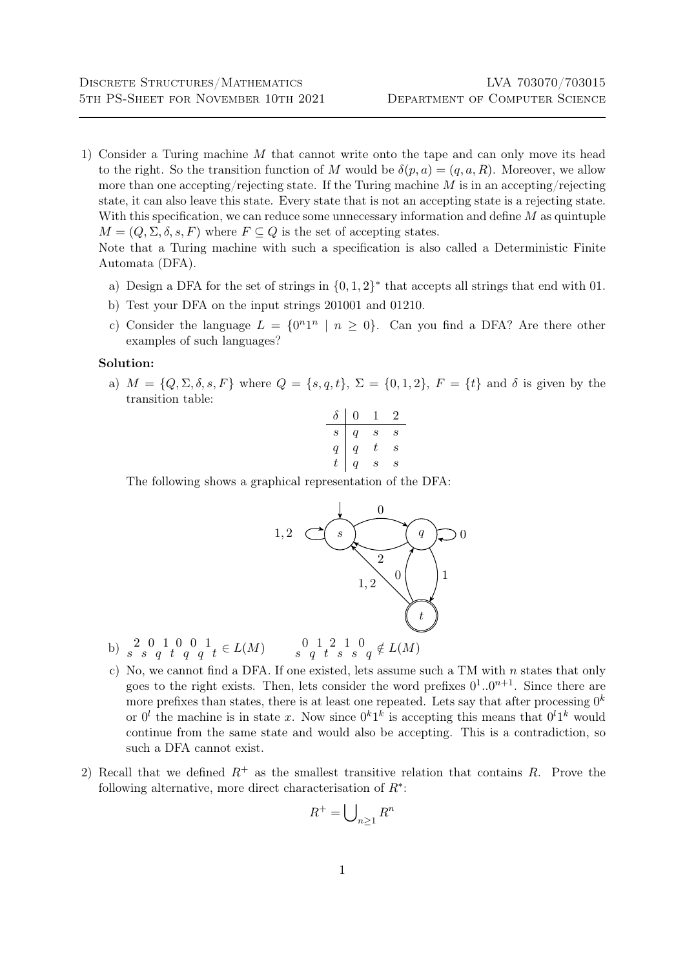1) Consider a Turing machine M that cannot write onto the tape and can only move its head to the right. So the transition function of M would be  $\delta(p, a) = (q, a, R)$ . Moreover, we allow more than one accepting/rejecting state. If the Turing machine  $M$  is in an accepting/rejecting state, it can also leave this state. Every state that is not an accepting state is a rejecting state. With this specification, we can reduce some unnecessary information and define  $M$  as quintuple  $M = (Q, \Sigma, \delta, s, F)$  where  $F \subseteq Q$  is the set of accepting states.

Note that a Turing machine with such a specification is also called a Deterministic Finite Automata (DFA).

- a) Design a DFA for the set of strings in  $\{0, 1, 2\}^*$  that accepts all strings that end with 01.
- b) Test your DFA on the input strings 201001 and 01210.
- c) Consider the language  $L = \{0^n1^n \mid n \ge 0\}$ . Can you find a DFA? Are there other examples of such languages?

## Solution:

a)  $M = \{Q, \Sigma, \delta, s, F\}$  where  $Q = \{s, q, t\}, \Sigma = \{0, 1, 2\}, F = \{t\}$  and  $\delta$  is given by the transition table:

$$
\begin{array}{c|cc}\n\delta & 0 & 1 & 2 \\
\hline\ns & q & s & s \\
q & q & t & s \\
t & q & s & s\n\end{array}
$$

The following shows a graphical representation of the DFA:



- b)  $s^2$   $s^0$   $q^1$   $t^1$   $q^1$   $q^1$   $t \in L(M)$   $s^0$   $s^1$   $s^1$   $s^1$   $s^0$   $s^0$   $t^0$   $t^0$   $t^0$
- c) No, we cannot find a DFA. If one existed, lets assume such a TM with  $n$  states that only goes to the right exists. Then, lets consider the word prefixes  $0^1..0^{n+1}$ . Since there are more prefixes than states, there is at least one repeated. Lets say that after processing  $0^k$ or  $0^l$  the machine is in state x. Now since  $0^k1^k$  is accepting this means that  $0^l1^k$  would continue from the same state and would also be accepting. This is a contradiction, so such a DFA cannot exist.
- 2) Recall that we defined  $R^+$  as the smallest transitive relation that contains R. Prove the following alternative, more direct characterisation of  $R^*$ :

$$
R^+ = \bigcup_{n \ge 1} R^n
$$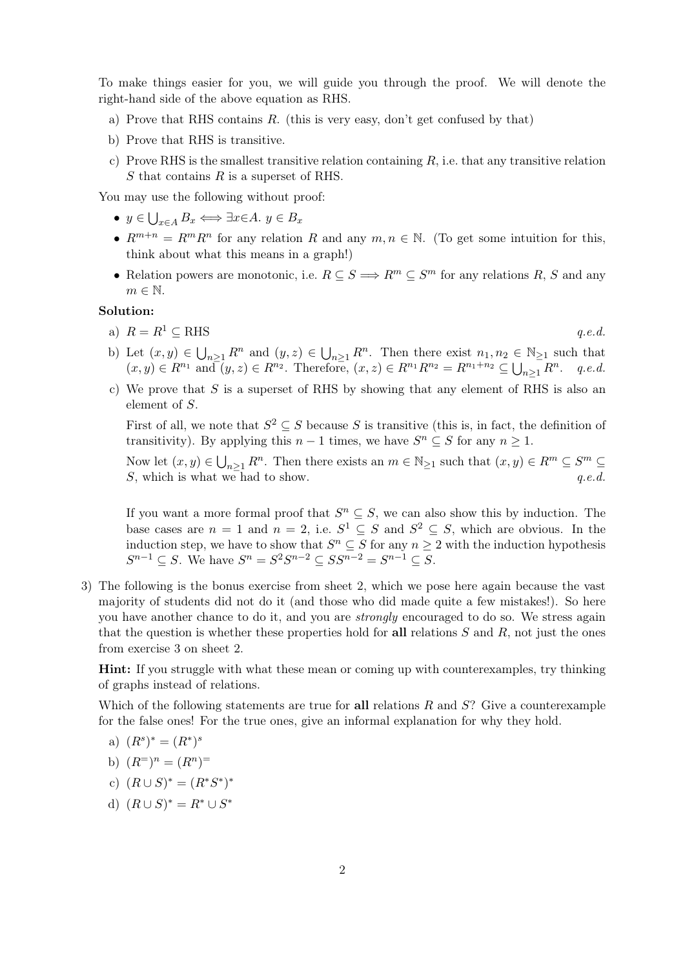To make things easier for you, we will guide you through the proof. We will denote the right-hand side of the above equation as RHS.

- a) Prove that RHS contains  $R$ . (this is very easy, don't get confused by that)
- b) Prove that RHS is transitive.
- c) Prove RHS is the smallest transitive relation containing  $R$ , i.e. that any transitive relation S that contains R is a superset of RHS.

You may use the following without proof:

- $y \in \bigcup_{x \in A} B_x \Longleftrightarrow \exists x \in A. y \in B_x$
- $R^{m+n} = R^m R^n$  for any relation R and any  $m, n \in \mathbb{N}$ . (To get some intuition for this, think about what this means in a graph!)
- Relation powers are monotonic, i.e.  $R \subseteq S \Longrightarrow R^m \subseteq S^m$  for any relations R, S and any  $m \in \mathbb{N}$ .

## Solution:

a)  $R = R^1 \subseteq \text{RHS}$  q.e.d.

- b) Let  $(x, y) \in \bigcup_{n \geq 1} R^n$  and  $(y, z) \in \bigcup_{n \geq 1} R^n$ . Then there exist  $n_1, n_2 \in \mathbb{N}_{\geq 1}$  such that  $(x, y) \in R^{n_1}$  and  $(y, z) \in R^{n_2}$ . Therefore,  $(x, z) \in R^{n_1} R^{n_2} = R^{n_1+n_2} \subseteq \bigcup_{n \geq 1} R^n$ . q.e.d.
- c) We prove that  $S$  is a superset of RHS by showing that any element of RHS is also an element of S.

First of all, we note that  $S^2 \subseteq S$  because S is transitive (this is, in fact, the definition of transitivity). By applying this  $n-1$  times, we have  $S^n \subseteq S$  for any  $n \geq 1$ .

Now let  $(x, y) \in \bigcup_{n \geq 1} R^n$ . Then there exists an  $m \in \mathbb{N}_{\geq 1}$  such that  $(x, y) \in R^m \subseteq S^m \subseteq$ S, which is what we had to show.  $q.e.d.$ 

If you want a more formal proof that  $S^n \subseteq S$ , we can also show this by induction. The base cases are  $n = 1$  and  $n = 2$ , i.e.  $S^1 \subseteq S$  and  $S^2 \subseteq S$ , which are obvious. In the induction step, we have to show that  $S^n \subseteq S$  for any  $n \geq 2$  with the induction hypothesis  $S^{n-1} \subseteq S$ . We have  $S^n = S^2 S^{n-2} \subseteq SS^{n-2} = S^{n-1} \subseteq S$ .

3) The following is the bonus exercise from sheet 2, which we pose here again because the vast majority of students did not do it (and those who did made quite a few mistakes!). So here you have another chance to do it, and you are *strongly* encouraged to do so. We stress again that the question is whether these properties hold for all relations  $S$  and  $R$ , not just the ones from exercise 3 on sheet 2.

Hint: If you struggle with what these mean or coming up with counterexamples, try thinking of graphs instead of relations.

Which of the following statements are true for all relations  $R$  and  $S$ ? Give a counterexample for the false ones! For the true ones, give an informal explanation for why they hold.

a) 
$$
(R^s)^* = (R^*)^s
$$

b) 
$$
(R^{\dagger})^n = (R^n)^{\dagger}
$$

- c)  $(R \cup S)^* = (R^*S^*)^*$
- d)  $(R \cup S)^* = R^* \cup S^*$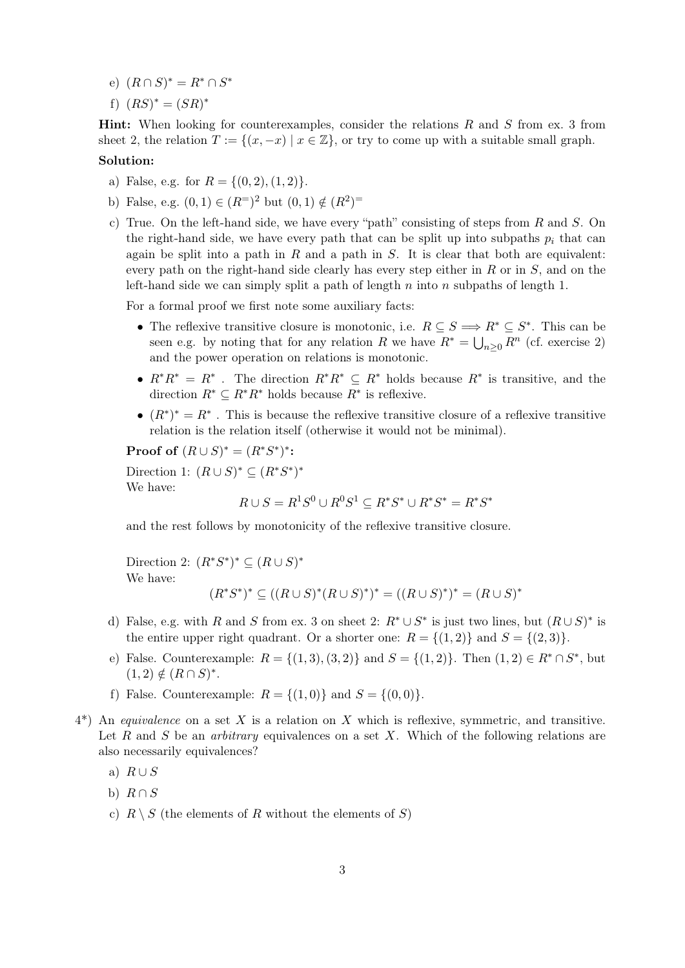- e)  $(R \cap S)^* = R^* \cap S^*$
- f)  $(RS)^* = (SR)^*$

**Hint:** When looking for counterexamples, consider the relations  $R$  and  $S$  from ex. 3 from sheet 2, the relation  $T := \{(x, -x) | x \in \mathbb{Z}\}\)$ , or try to come up with a suitable small graph.

## Solution:

- a) False, e.g. for  $R = \{(0, 2), (1, 2)\}.$
- b) False, e.g.  $(0,1) \in (R^{\equiv})^2$  but  $(0,1) \notin (R^2)^{\equiv}$
- c) True. On the left-hand side, we have every "path" consisting of steps from  $R$  and  $S$ . On the right-hand side, we have every path that can be split up into subpaths  $p_i$  that can again be split into a path in  $R$  and a path in  $S$ . It is clear that both are equivalent: every path on the right-hand side clearly has every step either in  $R$  or in  $S$ , and on the left-hand side we can simply split a path of length  $n$  into  $n$  subpaths of length 1.

For a formal proof we first note some auxiliary facts:

- The reflexive transitive closure is monotonic, i.e.  $R \subseteq S \Longrightarrow R^* \subseteq S^*$ . This can be seen e.g. by noting that for any relation R we have  $R^* = \bigcup_{n\geq 0} R^n$  (cf. exercise 2) and the power operation on relations is monotonic.
- $R^*R^* = R^*$ . The direction  $R^*R^* \subseteq R^*$  holds because  $R^*$  is transitive, and the direction  $R^* \subseteq R^*R^*$  holds because  $R^*$  is reflexive.
- $(R^*)^* = R^*$ . This is because the reflexive transitive closure of a reflexive transitive relation is the relation itself (otherwise it would not be minimal).

Proof of  $(R \cup S)^* = (R^*S^*)^*$ :

Direction 1:  $(R \cup S)^* \subseteq (R^*S^*)^*$ We have:

$$
R\cup S=R^1S^0\cup R^0S^1\subseteq R^*S^*\cup R^*S^*=R^*S^*
$$

and the rest follows by monotonicity of the reflexive transitive closure.

Direction 2:  $(R^*S^*)^* \subseteq (R \cup S)^*$ We have:

$$
(R^*S^*)^* \subseteq ((R \cup S)^*(R \cup S)^*)^* = ((R \cup S)^*)^* = (R \cup S)^*
$$

- d) False, e.g. with R and S from ex. 3 on sheet 2:  $R^* \cup S^*$  is just two lines, but  $(R \cup S)^*$  is the entire upper right quadrant. Or a shorter one:  $R = \{(1,2)\}\$  and  $S = \{(2,3)\}\$ .
- e) False. Counterexample:  $R = \{(1,3), (3,2)\}\$ and  $S = \{(1,2)\}\$ . Then  $(1,2) \in R^* \cap S^*$ , but  $(1,2) \notin (R \cap S)^*$ .
- f) False. Counterexample:  $R = \{(1,0)\}\$ and  $S = \{(0,0)\}.$
- $4^*$ ) An equivalence on a set X is a relation on X which is reflexive, symmetric, and transitive. Let R and S be an *arbitrary* equivalences on a set X. Which of the following relations are also necessarily equivalences?
	- a)  $R \cup S$
	- b)  $R \cap S$
	- c)  $R \setminus S$  (the elements of R without the elements of S)